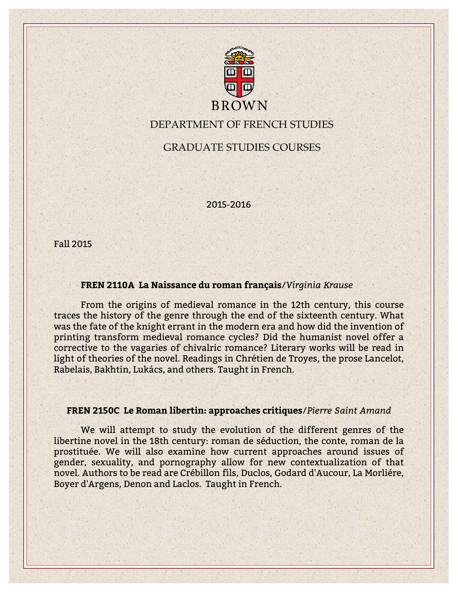

DEPARTMENT OF FRENCH STUDIES

GRADUATE STUDIES COURSES

2015-2016

Fall 2015

## **FREN 2110A La Naissance du roman français**/*Virginia Krause*

From the origins of medieval romance in the 12th century, this course traces the history of the genre through the end of the sixteenth century. What was the fate of the knight errant in the modern era and how did the invention of printing transform medieval romance cycles? Did the humanist novel offer a corrective to the vagaries of chivalric romance? Literary works will be read in light of theories of the novel. Readings in Chrétien de Troyes, the prose Lancelot, Rabelais, Bakhtin, Lukács, and others. Taught in French.

### **FREN 2150C Le Roman libertin: approaches critiques**/*Pierre Saint Amand*

We will attempt to study the evolution of the different genres of the libertine novel in the 18th century: roman de séduction, the conte, roman de la prostituée. We will also examine how current approaches around issues of gender, sexuality, and pornography allow for new contextualization of that novel. Authors to be read are Crébillon fils, Duclos, Godard d'Aucour, La Morliére, Boyer d'Argens, Denon and Laclos. Taught in French.